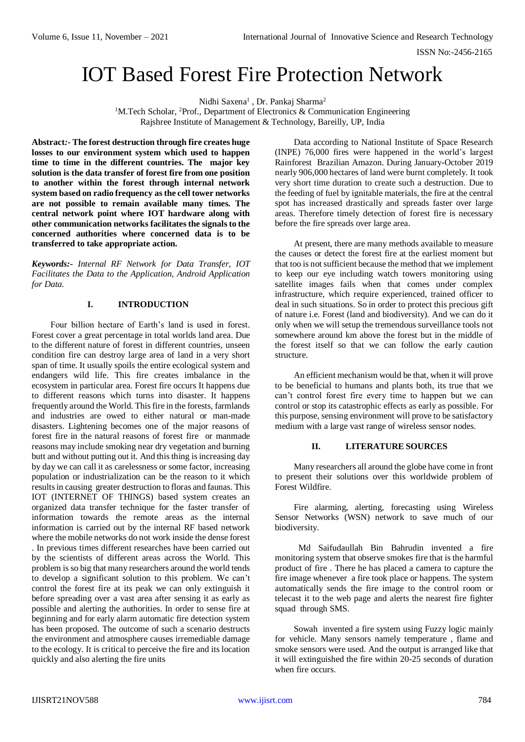ISSN No:-2456-2165

# IOT Based Forest Fire Protection Network

Nidhi Saxena<sup>1</sup>, Dr. Pankaj Sharma<sup>2</sup>

<sup>1</sup>M.Tech Scholar, <sup>2</sup>Prof., Department of Electronics & Communication Engineering Rajshree Institute of Management & Technology, Bareilly, UP, India

**Abstract***:-* **The forest destruction through fire creates huge losses to our environment system which used to happen time to time in the different countries. The major key solution is the data transfer of forest fire from one position to another within the forest through internal network system based on radio frequency as the cell tower networks are not possible to remain available many times. The central network point where IOT hardware along with other communication networks facilitates the signals to the concerned authorities where concerned data is to be transferred to take appropriate action.** 

*Keywords:- Internal RF Network for Data Transfer, IOT Facilitates the Data to the Application, Android Application for Data.*

### **I. INTRODUCTION**

Four billion hectare of Earth's land is used in forest. Forest cover a great percentage in total worlds land area. Due to the different nature of forest in different countries, unseen condition fire can destroy large area of land in a very short span of time. It usually spoils the entire ecological system and endangers wild life. This fire creates imbalance in the ecosystem in particular area. Forest fire occurs It happens due to different reasons which turns into disaster. It happens frequently around the World. This fire in the forests, farmlands and industries are owed to either natural or man-made disasters. Lightening becomes one of the major reasons of forest fire in the natural reasons of forest fire or manmade reasons may include smoking near dry vegetation and burning butt and without putting out it. And this thing is increasing day by day we can call it as carelessness or some factor, increasing population or industrialization can be the reason to it which results in causing greater destruction to floras and faunas. This IOT (INTERNET OF THINGS) based system creates an organized data transfer technique for the faster transfer of information towards the remote areas as the internal information is carried out by the internal RF based network where the mobile networks do not work inside the dense forest . In previous times different researches have been carried out by the scientists of different areas across the World. This problem is so big that many researchers around the world tends to develop a significant solution to this problem. We can't control the forest fire at its peak we can only extinguish it before spreading over a vast area after sensing it as early as possible and alerting the authorities. In order to sense fire at beginning and for early alarm automatic fire detection system has been proposed. The outcome of such a scenario destructs the environment and atmosphere causes irremediable damage to the ecology. It is critical to perceive the fire and its location quickly and also alerting the fire units

Data according to National Institute of Space Research (INPE) 76,000 fires were happened in the world's largest Rainforest Brazilian Amazon. During January-October 2019 nearly 906,000 hectares of land were burnt completely. It took very short time duration to create such a destruction. Due to the feeding of fuel by ignitable materials, the fire at the central spot has increased drastically and spreads faster over large areas. Therefore timely detection of forest fire is necessary before the fire spreads over large area.

At present, there are many methods available to measure the causes or detect the forest fire at the earliest moment but that too is not sufficient because the method that we implement to keep our eye including watch towers monitoring using satellite images fails when that comes under complex infrastructure, which require experienced, trained officer to deal in such situations. So in order to protect this precious gift of nature i.e. Forest (land and biodiversity). And we can do it only when we will setup the tremendous surveillance tools not somewhere around km above the forest but in the middle of the forest itself so that we can follow the early caution structure.

An efficient mechanism would be that, when it will prove to be beneficial to humans and plants both, its true that we can't control forest fire every time to happen but we can control or stop its catastrophic effects as early as possible. For this purpose, sensing environment will prove to be satisfactory medium with a large vast range of wireless sensor nodes.

### **II. LITERATURE SOURCES**

Many researchers all around the globe have come in front to present their solutions over this worldwide problem of Forest Wildfire.

Fire alarming, alerting, forecasting using Wireless Sensor Networks (WSN) network to save much of our biodiversity.

 Md Saifudaullah Bin Bahrudin invented a fire monitoring system that observe smokes fire that is the harmful product of fire . There he has placed a camera to capture the fire image whenever a fire took place or happens. The system automatically sends the fire image to the control room or telecast it to the web page and alerts the nearest fire fighter squad through SMS.

Sowah invented a fire system using Fuzzy logic mainly for vehicle. Many sensors namely temperature , flame and smoke sensors were used. And the output is arranged like that it will extinguished the fire within 20-25 seconds of duration when fire occurs.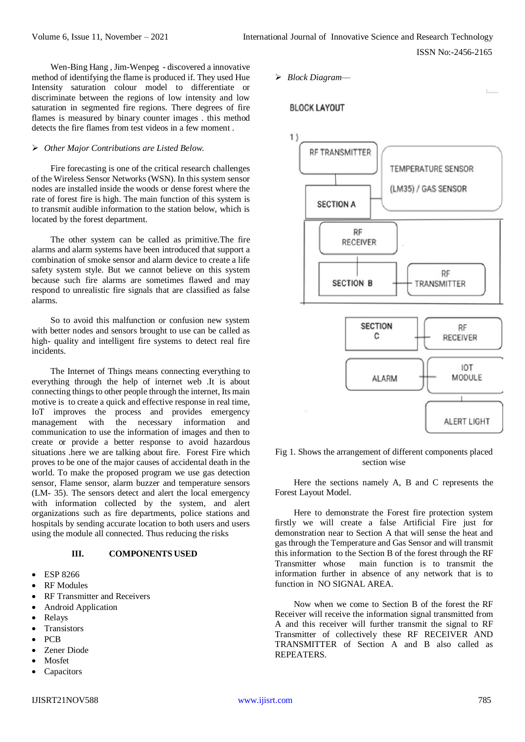Wen-Bing Hang , Jim-Wenpeg - discovered a innovative method of identifying the flame is produced if. They used Hue Intensity saturation colour model to differentiate or discriminate between the regions of low intensity and low saturation in segmented fire regions. There degrees of fire flames is measured by binary counter images . this method detects the fire flames from test videos in a few moment .

## *Other Major Contributions are Listed Below.*

Fire forecasting is one of the critical research challenges of the Wireless Sensor Networks (WSN). In this system sensor nodes are installed inside the woods or dense forest where the rate of forest fire is high. The main function of this system is to transmit audible information to the station below, which is located by the forest department.

The other system can be called as primitive.The fire alarms and alarm systems have been introduced that support a combination of smoke sensor and alarm device to create a life safety system style. But we cannot believe on this system because such fire alarms are sometimes flawed and may respond to unrealistic fire signals that are classified as false alarms.

So to avoid this malfunction or confusion new system with better nodes and sensors brought to use can be called as high- quality and intelligent fire systems to detect real fire incidents.

The Internet of Things means connecting everything to everything through the help of internet web .It is about connecting things to other people through the internet, Its main motive is to create a quick and effective response in real time, IoT improves the process and provides emergency management with the necessary information and communication to use the information of images and then to create or provide a better response to avoid hazardous situations .here we are talking about fire. Forest Fire which proves to be one of the major causes of accidental death in the world. To make the proposed program we use gas detection sensor, Flame sensor, alarm buzzer and temperature sensors (LM- 35). The sensors detect and alert the local emergency with information collected by the system, and alert organizations such as fire departments, police stations and hospitals by sending accurate location to both users and users using the module all connected. Thus reducing the risks

#### **III. COMPONENTS USED**

- ESP 8266
- RF Modules
- RF Transmitter and Receivers
- Android Application
- Relays
- **Transistors**
- PCB
- Zener Diode
- Mosfet
- **Capacitors**

*Block Diagram––*

# **BLOCK LAYOUT**



## Fig 1. Shows the arrangement of different components placed section wise

Here the sections namely A, B and C represents the Forest Layout Model.

Here to demonstrate the Forest fire protection system firstly we will create a false Artificial Fire just for demonstration near to Section A that will sense the heat and gas through the Temperature and Gas Sensor and will transmit this information to the Section B of the forest through the RF Transmitter whose main function is to transmit the information further in absence of any network that is to function in NO SIGNAL AREA.

Now when we come to Section B of the forest the RF Receiver will receive the information signal transmitted from A and this receiver will further transmit the signal to RF Transmitter of collectively these RF RECEIVER AND TRANSMITTER of Section A and B also called as **REPEATERS**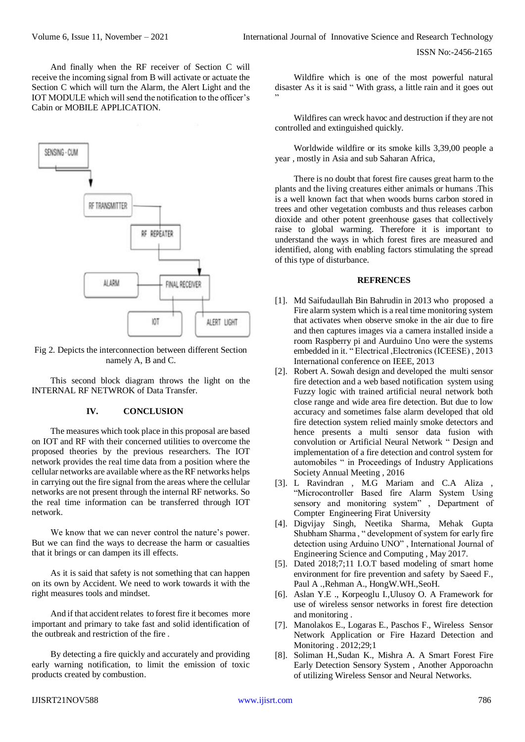And finally when the RF receiver of Section C will receive the incoming signal from B will activate or actuate the Section C which will turn the Alarm, the Alert Light and the IOT MODULE which will send the notification to the officer's Cabin or MOBILE APPLICATION.



Fig 2. Depicts the interconnection between different Section namely A, B and C.

This second block diagram throws the light on the INTERNAL RF NETWROK of Data Transfer.

# **IV. CONCLUSION**

The measures which took place in this proposal are based on IOT and RF with their concerned utilities to overcome the proposed theories by the previous researchers. The IOT network provides the real time data from a position where the cellular networks are available where as the RF networks helps in carrying out the fire signal from the areas where the cellular networks are not present through the internal RF networks. So the real time information can be transferred through IOT network.

We know that we can never control the nature's power. But we can find the ways to decrease the harm or casualties that it brings or can dampen its ill effects.

As it is said that safety is not something that can happen on its own by Accident. We need to work towards it with the right measures tools and mindset.

And if that accident relates to forest fire it becomes more important and primary to take fast and solid identification of the outbreak and restriction of the fire .

By detecting a fire quickly and accurately and providing early warning notification, to limit the emission of toxic products created by combustion.

Wildfire which is one of the most powerful natural disaster As it is said " With grass, a little rain and it goes out "

Wildfires can wreck havoc and destruction if they are not controlled and extinguished quickly.

Worldwide wildfire or its smoke kills 3,39,00 people a year , mostly in Asia and sub Saharan Africa,

There is no doubt that forest fire causes great harm to the plants and the living creatures either animals or humans .This is a well known fact that when woods burns carbon stored in trees and other vegetation combusts and thus releases carbon dioxide and other potent greenhouse gases that collectively raise to global warming. Therefore it is important to understand the ways in which forest fires are measured and identified, along with enabling factors stimulating the spread of this type of disturbance.

#### **REFRENCES**

- [1]. Md Saifudaullah Bin Bahrudin in 2013 who proposed a Fire alarm system which is a real time monitoring system that activates when observe smoke in the air due to fire and then captures images via a camera installed inside a room Raspberry pi and Aurduino Uno were the systems embedded in it. " Electrical ,Electronics (ICEESE) , 2013 International conference on IEEE, 2013
- [2]. Robert A. Sowah design and developed the multi sensor fire detection and a web based notification system using Fuzzy logic with trained artificial neural network both close range and wide area fire detection. But due to low accuracy and sometimes false alarm developed that old fire detection system relied mainly smoke detectors and hence presents a multi sensor data fusion with convolution or Artificial Neural Network " Design and implementation of a fire detection and control system for automobiles " in Proceedings of Industry Applications Society Annual Meeting , 2016
- [3]. L Ravindran , M.G Mariam and C.A Aliza , "Microcontroller Based fire Alarm System Using sensory and monitoring system" , Department of Compter Engineering Firat University
- [4]. Digvijay Singh, Neetika Sharma, Mehak Gupta Shubham Sharma , " development of system for early fire detection using Arduino UNO" , International Journal of Engineering Science and Computing , May 2017.
- [5]. Dated 2018;7;11 I.O.T based modeling of smart home environment for fire prevention and safety by Saeed F., Paul A .,Rehman A., HongW.WH.,SeoH.
- [6]. Aslan Y.E ., Korpeoglu I.,Ulusoy O. A Framework for use of wireless sensor networks in forest fire detection and monitoring .
- [7]. Manolakos E., Logaras E., Paschos F., Wireless Sensor Network Application or Fire Hazard Detection and Monitoring . 2012;29;1
- [8]. Soliman H.,Sudan K., Mishra A. A Smart Forest Fire Early Detection Sensory System , Another Apporoachn of utilizing Wireless Sensor and Neural Networks.